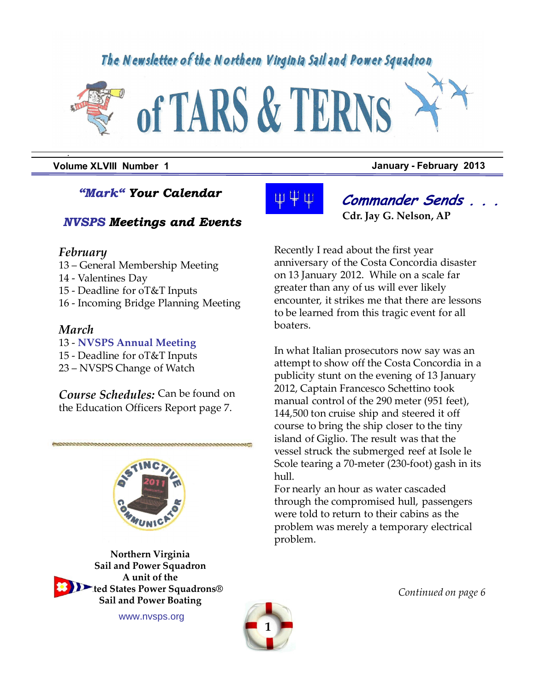# The Newsletter of the Northern Virginia Sail and Power Squadron



**Volume XLVIII Number 1 January - February 2013**

### *"Mark" Your Calendar*

### *NVSPS Meetings and Events*

#### *February*

*.*

- 13 General Membership Meeting
- 14 Valentines Day
- 15 Deadline for oT&T Inputs
- 16 Incoming Bridge Planning Meeting

#### *March*

- 13 **NVSPS Annual Meeting**
- 15 Deadline for oT&T Inputs
- 23 NVSPS Change of Watch

*Course Schedules:* Can be found on the Education Officers Report page 7.



**Northern Virginia Sail and Power Squadron A unit of the United States Power Squadrons®**

**Sail and Power Boating**





**Commander Sends . . . Cdr. Jay G. Nelson, AP** 

Recently I read about the first year anniversary of the Costa Concordia disaster on 13 January 2012. While on a scale far greater than any of us will ever likely encounter, it strikes me that there are lessons to be learned from this tragic event for all boaters.

In what Italian prosecutors now say was an attempt to show off the Costa Concordia in a publicity stunt on the evening of 13 January 2012, Captain Francesco Schettino took manual control of the 290 meter (951 feet), 144,500 ton cruise ship and steered it off course to bring the ship closer to the tiny island of Giglio. The result was that the vessel struck the submerged reef at Isole le Scole tearing a 70-meter (230-foot) gash in its hull.

For nearly an hour as water cascaded through the compromised hull, passengers were told to return to their cabins as the problem was merely a temporary electrical problem.

*Continued on page 6*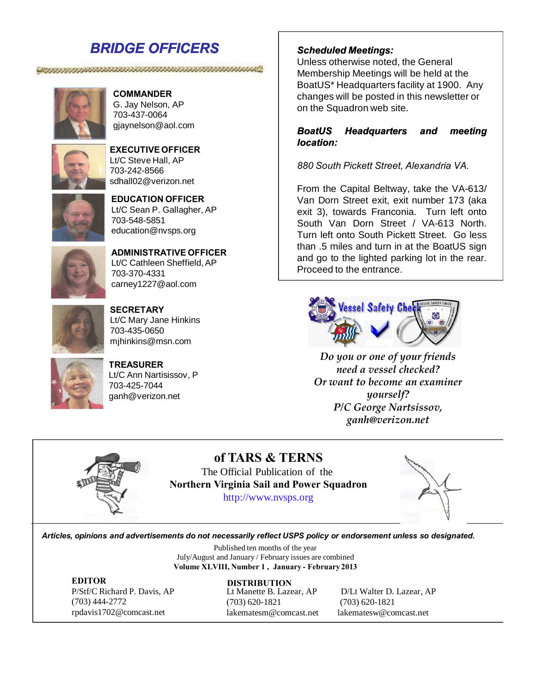### *BRIDGE OFFICERS*

### **COMMANDER** G. Jay Nelson, AP

, www.manamanamanamanamana

703-437-0064 gjaynelson@aol.com



#### **EXECUTIVE OFFICER** Lt/C Steve Hall, AP 703-242-8566 sdhall02@verizon.net



#### **EDUCATION OFFICER** Lt/C Sean P. Gallagher, AP 703-548-5851 education@nvsps.org



**ADMINISTRATIVE OFFICER** Lt/C Cathleen Sheffield, AP 703-370-4331 carney1227@aol.com



**SECRETARY** Lt/C Mary Jane Hinkins 703-435-0650 mjhinkins@msn.com



**TREASURER** Lt/C Ann Nartisissov, P 703-425-7044 ganh@verizon.net

### *Scheduled Meetings:*

Unless otherwise noted, the General Membership Meetings will be held at the BoatUS\* Headquarters facility at 1900. Any changes will be posted in this newsletter or on the Squadron web site.

#### *BoatUS Headquarters and meeting location:*

*880 South Pickett Street, Alexandria VA.*

From the Capital Beltway, take the VA-613/ Van Dorn Street exit, exit number 173 (aka exit 3), towards Franconia. Turn left onto South Van Dorn Street / VA-613 North. Turn left onto South Pickett Street. Go less than .5 miles and turn in at the BoatUS sign and go to the lighted parking lot in the rear. Proceed to the entrance.



*Do you or one of your friends need a vessel checked? Or want to become an examiner yourself? P/C George Nartsissov, ganh@verizon.net*



**of TARS & TERNS** The Official Publication of the **Northern Virginia Sail and Power Squadron** http://www.nvsps.org



*Articles, opinions and advertisements do not necessarily reflect USPS policy or endorsement unless so designated.*

Published ten months of the year July/August and January / February issues are combined **Volume XLVIII, Number 1 , January - February 2013**

**EDITOR** P/Stf/C Richard P. Davis, AP (703) 444-2772 rpdavis1702@comcast.net

(703) 620-1821 (703) 620-1821 lakematesm@comcast.net lakematesw@comcast.net **DISTRIBUTION**

Lt Manette B. Lazear, AP D/Lt Walter D. Lazear, AP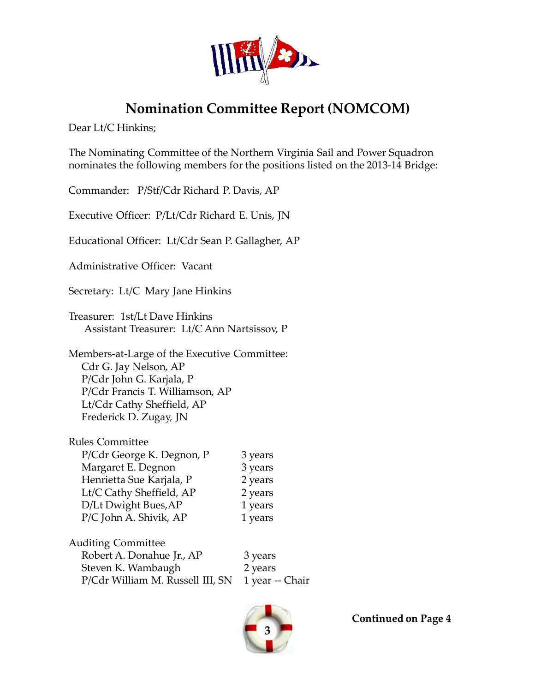

## **Nomination Committee Report (NOMCOM)**

Dear Lt/C Hinkins;

The Nominating Committee of the Northern Virginia Sail and Power Squadron nominates the following members for the positions listed on the 2013-14 Bridge:

Commander: P/Stf/Cdr Richard P. Davis, AP

Executive Officer: P/Lt/Cdr Richard E. Unis, JN

Educational Officer: Lt/Cdr Sean P. Gallagher, AP

Administrative Officer: Vacant

Secretary: Lt/C Mary Jane Hinkins

Treasurer: 1st/Lt Dave Hinkins Assistant Treasurer: Lt/C Ann Nartsissov, P

Members-at-Large of the Executive Committee: Cdr G. Jay Nelson, AP P/Cdr John G. Karjala, P P/Cdr Francis T. Williamson, AP Lt/Cdr Cathy Sheffield, AP Frederick D. Zugay, JN

| Rules Committee           |         |
|---------------------------|---------|
| P/Cdr George K. Degnon, P | 3 years |
| Margaret E. Degnon        | 3 years |
| Henrietta Sue Karjala, P  | 2 years |
| Lt/C Cathy Sheffield, AP  | 2 years |
| D/Lt Dwight Bues, AP      | 1 years |
| P/C John A. Shivik, AP    | 1 years |
|                           |         |

Auditing Committee Robert A. Donahue Jr., AP 3 years Steven K. Wambaugh 2 years P/Cdr William M. Russell III, SN 1 year -- Chair



**Continued on Page 4**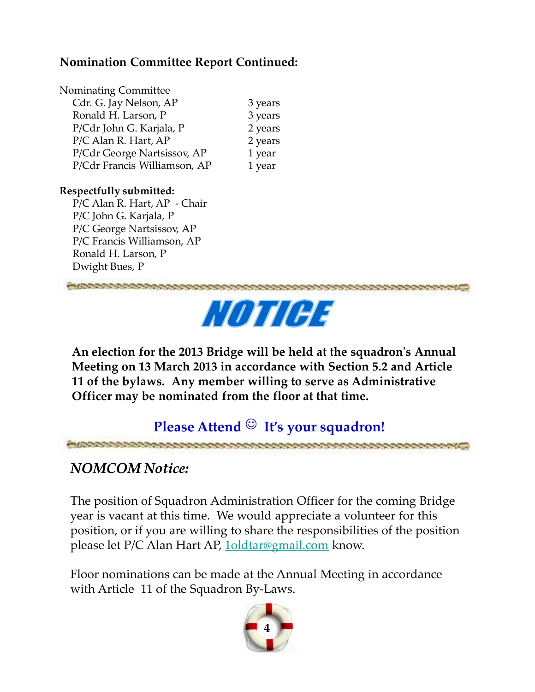### **Nomination Committee Report Continued:**

| <b>Nominating Committee</b>  |         |
|------------------------------|---------|
| Cdr. G. Jay Nelson, AP       | 3 years |
| Ronald H. Larson, P          | 3 years |
| P/Cdr John G. Karjala, P     | 2 years |
| P/C Alan R. Hart, AP         | 2 years |
| P/Cdr George Nartsissov, AP  | 1 year  |
| P/Cdr Francis Williamson, AP | 1 year  |
|                              |         |

### **Respectfully submitted:**

P/C Alan R. Hart, AP - Chair P/C John G. Karjala, P P/C George Nartsissov, AP P/C Francis Williamson, AP Ronald H. Larson, P Dwight Bues, P





**An election for the 2013 Bridge will be held at the squadron's Annual Meeting on 13 March 2013 in accordance with Section 5.2 and Article 11 of the bylaws. Any member willing to serve as Administrative Officer may be nominated from the floor at that time.**

### **Please Attend**  $\odot$  **It's your squadron!**

こうじょうきょうきん しゅうきょうきん

### *NOMCOM Notice:*

The position of Squadron Administration Officer for the coming Bridge year is vacant at this time. We would appreciate a volunteer for this position, or if you are willing to share the responsibilities of the position please let P/C Alan Hart AP, 1oldtar@gmail.com know.

Floor nominations can be made at the Annual Meeting in accordance with Article 11 of the Squadron By-Laws.

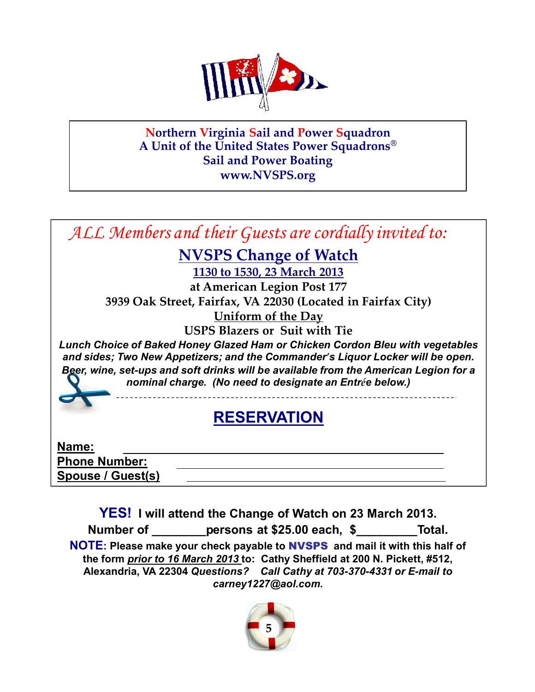

**Northern Virginia Sail and Power Squadron A Unit of the United States Power Squadrons® Sail and Power Boating www.NVSPS.org**



**YES! I will attend the Change of Watch on 23 March 2013.**

**Number of \_\_\_\_\_\_\_\_persons at \$25.00 each, \$\_\_\_\_\_\_\_\_\_Total.**

**NOTE: Please make your check payable to** NVSPS **and mail it with this half of the form** *prior to 16 March 2013* **to: Cathy Sheffield at 200 N. Pickett, #512, Alexandria, VA 22304** *Questions? Call Cathy at 703-370-4331 or E-mail to carney1227@aol.com.* 

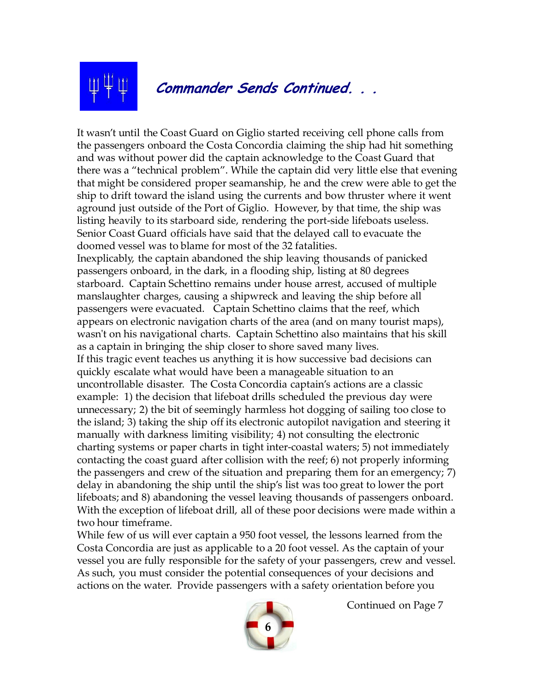

It wasn't until the Coast Guard on Giglio started receiving cell phone calls from the passengers onboard the Costa Concordia claiming the ship had hit something and was without power did the captain acknowledge to the Coast Guard that there was a "technical problem". While the captain did very little else that evening that might be considered proper seamanship, he and the crew were able to get the ship to drift toward the island using the currents and bow thruster where it went aground just outside of the Port of Giglio. However, by that time, the ship was listing heavily to its starboard side, rendering the port-side lifeboats useless. Senior Coast Guard officials have said that the delayed call to evacuate the doomed vessel was to blame for most of the 32 fatalities. Inexplicably, the captain abandoned the ship leaving thousands of panicked passengers onboard, in the dark, in a flooding ship, listing at 80 degrees starboard. Captain Schettino remains under house arrest, accused of multiple manslaughter charges, causing a shipwreck and leaving the ship before all passengers were evacuated. Captain Schettino claims that the reef, which appears on electronic navigation charts of the area (and on many tourist maps), wasn't on his navigational charts. Captain Schettino also maintains that his skill as a captain in bringing the ship closer to shore saved many lives. If this tragic event teaches us anything it is how successive bad decisions can quickly escalate what would have been a manageable situation to an uncontrollable disaster. The Costa Concordia captain's actions are a classic example: 1) the decision that lifeboat drills scheduled the previous day were unnecessary; 2) the bit of seemingly harmless hot dogging of sailing too close to the island; 3) taking the ship off its electronic autopilot navigation and steering it manually with darkness limiting visibility; 4) not consulting the electronic charting systems or paper charts in tight inter-coastal waters; 5) not immediately contacting the coast guard after collision with the reef; 6) not properly informing the passengers and crew of the situation and preparing them for an emergency; 7) delay in abandoning the ship until the ship's list was too great to lower the port lifeboats; and 8) abandoning the vessel leaving thousands of passengers onboard. With the exception of lifeboat drill, all of these poor decisions were made within a two hour timeframe.

While few of us will ever captain a 950 foot vessel, the lessons learned from the Costa Concordia are just as applicable to a 20 foot vessel. As the captain of your vessel you are fully responsible for the safety of your passengers, crew and vessel. As such, you must consider the potential consequences of your decisions and actions on the water. Provide passengers with a safety orientation before you



Continued on Page 7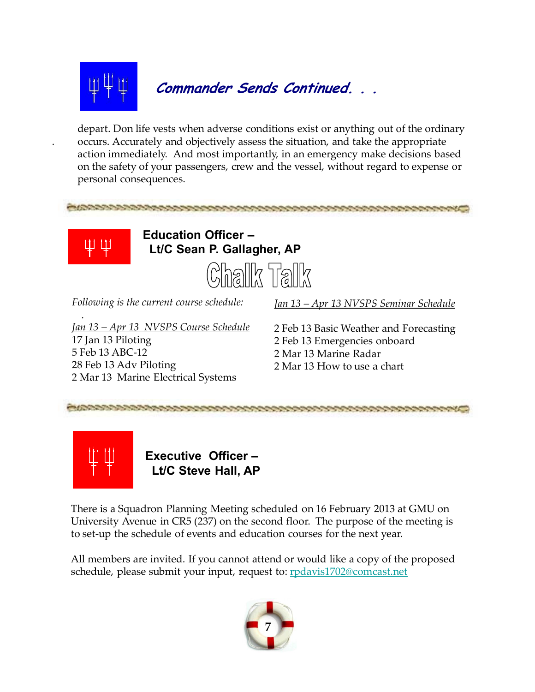

**Commander Sends Continued. . .**

depart. Don life vests when adverse conditions exist or anything out of the ordinary occurs. Accurately and objectively assess the situation, and take the appropriate action immediately. And most importantly, in an emergency make decisions based on the safety of your passengers, crew and the vessel, without regard to expense or personal consequences.

中 中

.

.

**Education Officer – Lt/C Sean P. Gallagher, AP**



*Following is the current course schedule:*

*Jan 13 – Apr 13 NVSPS Seminar Schedule*

*Jan 13 – Apr 13 NVSPS Course Schedule* 17 Jan 13 Piloting 5 Feb 13 ABC-12 28 Feb 13 Adv Piloting 2 Mar 13 Marine Electrical Systems

2 Feb 13 Basic Weather and Forecasting 2 Feb 13 Emergencies onboard 2 Mar 13 Marine Radar 2 Mar 13 How to use a chart



**Executive Officer – Lt/C Steve Hall, AP**

There is a Squadron Planning Meeting scheduled on 16 February 2013 at GMU on University Avenue in CR5 (237) on the second floor. The purpose of the meeting is to set-up the schedule of events and education courses for the next year.

All members are invited. If you cannot attend or would like a copy of the proposed schedule, please submit your input, request to: rpdavis1702@comcast.net

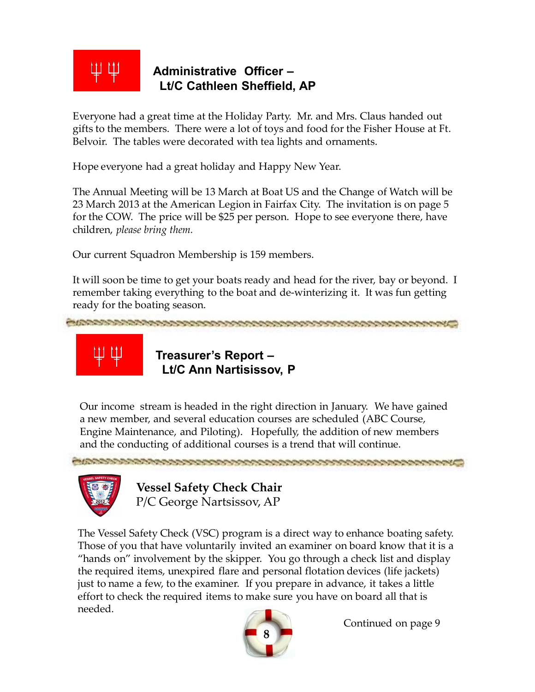

### **Administrative Officer – Lt/C Cathleen Sheffield, AP**

Everyone had a great time at the Holiday Party. Mr. and Mrs. Claus handed out gifts to the members. There were a lot of toys and food for the Fisher House at Ft. Belvoir. The tables were decorated with tea lights and ornaments.

Hope everyone had a great holiday and Happy New Year.

The Annual Meeting will be 13 March at Boat US and the Change of Watch will be 23 March 2013 at the American Legion in Fairfax City. The invitation is on page 5 for the COW. The price will be \$25 per person. Hope to see everyone there, have children, *please bring them.*

Our current Squadron Membership is 159 members.

It will soon be time to get your boats ready and head for the river, bay or beyond. I remember taking everything to the boat and de-winterizing it. It was fun getting ready for the boating season.



**Treasurer's Report – Lt/C Ann Nartisissov, P**

Our income stream is headed in the right direction in January. We have gained a new member, and several education courses are scheduled (ABC Course, Engine Maintenance, and Piloting). Hopefully, the addition of new members and the conducting of additional courses is a trend that will continue.

しゅうきん しゅうしょう しゅうきょう しゅうきょう しゅうきょう しゅうきょう しゅうきょう



しょうきょうきょう きょうきょうしょう

**Vessel Safety Check Chair** P/C George Nartsissov, AP

The Vessel Safety Check (VSC) program is a direct way to enhance boating safety. Those of you that have voluntarily invited an examiner on board know that it is a "hands on" involvement by the skipper. You go through a check list and display the required items, unexpired flare and personal flotation devices (life jackets) just to name a few, to the examiner. If you prepare in advance, it takes a little effort to check the required items to make sure you have on board all that is needed.



Continued on page 9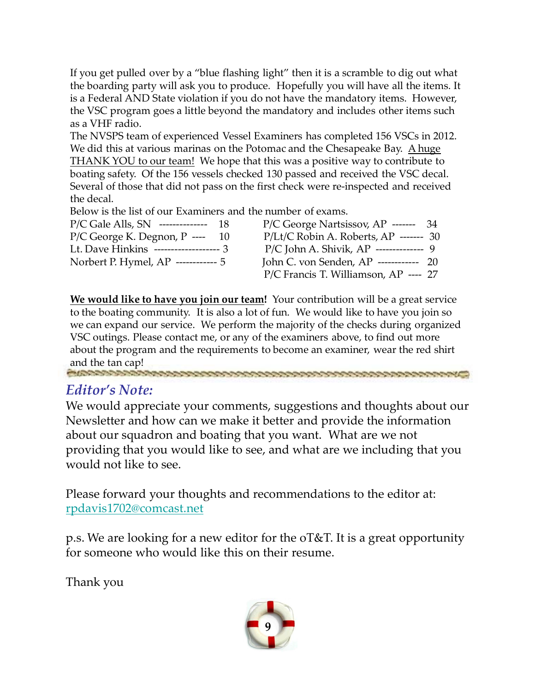If you get pulled over by a "blue flashing light" then it is a scramble to dig out what the boarding party will ask you to produce. Hopefully you will have all the items. It is a Federal AND State violation if you do not have the mandatory items. However, the VSC program goes a little beyond the mandatory and includes other items such as a VHF radio.

The NVSPS team of experienced Vessel Examiners has completed 156 VSCs in 2012. We did this at various marinas on the Potomac and the Chesapeake Bay. A huge THANK YOU to our team! We hope that this was a positive way to contribute to boating safety. Of the 156 vessels checked 130 passed and received the VSC decal. Several of those that did not pass on the first check were re-inspected and received the decal.

Below is the list of our Examiners and the number of exams.

| $P/C$ Gale Alls, SN -------------- 18  | $P/C$ George Nartsissov, AP ------- 34    |
|----------------------------------------|-------------------------------------------|
| $P/C$ George K. Degnon, P ---- 10      | $P/Lt/C$ Robin A. Roberts, AP ------- 30  |
| Lt. Dave Hinkins ------------------- 3 | $P/C$ John A. Shivik, AP -------------- 9 |
| Norbert P. Hymel, AP ------------ 5    | John C. von Senden, $AP$ ------------ 20  |
|                                        | P/C Francis T. Williamson, AP ---- 27     |

**We would like to have you join our team!** Your contribution will be a great service to the boating community. It is also a lot of fun. We would like to have you join so we can expand our service. We perform the majority of the checks during organized VSC outings. Please contact me, or any of the examiners above, to find out more about the program and the requirements to become an examiner, wear the red shirt and the tan cap!<br>Experiences conserved and conserved and conserved and conserved and conserved and conserved and conserved and conserved and conserved and conserved and conserved and conserved and conserved and conserved a

### *Editor's Note:*

We would appreciate your comments, suggestions and thoughts about our Newsletter and how can we make it better and provide the information about our squadron and boating that you want. What are we not providing that you would like to see, and what are we including that you would not like to see.

Please forward your thoughts and recommendations to the editor at: rpdavis1702@comcast.net

p.s. We are looking for a new editor for the oT&T. It is a great opportunity for someone who would like this on their resume.

Thank you